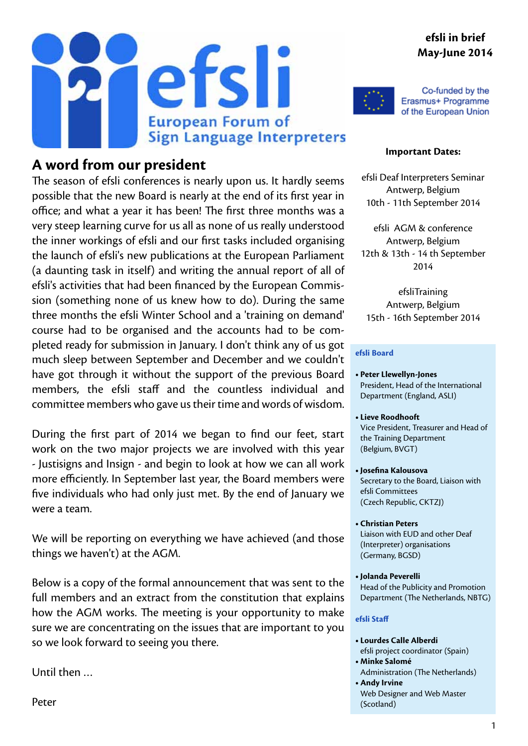#### **efsli in brief May-June 2014**





Co-funded by the Erasmus+ Programme of the European Union

#### **A word from our president**

The season of efsli conferences is nearly upon us. It hardly seems possible that the new Board is nearly at the end of its first year in office; and what a year it has been! The first three months was a very steep learning curve for us all as none of us really understood the inner workings of efsli and our first tasks included organising the launch of efsli's new publications at the European Parliament (a daunting task in itself) and writing the annual report of all of efsli's activities that had been financed by the European Commission (something none of us knew how to do). During the same three months the efsli Winter School and a 'training on demand' course had to be organised and the accounts had to be completed ready for submission in January. I don't think any of us got much sleep between September and December and we couldn't have got through it without the support of the previous Board members, the efsli staff and the countless individual and committee members who gave us their time and words of wisdom.

During the first part of 2014 we began to find our feet, start work on the two major projects we are involved with this year - Justisigns and Insign - and begin to look at how we can all work more efficiently. In September last year, the Board members were five individuals who had only just met. By the end of January we were a team.

We will be reporting on everything we have achieved (and those things we haven't) at the AGM.

Below is a copy of the formal announcement that was sent to the full members and an extract from the constitution that explains how the AGM works. The meeting is your opportunity to make sure we are concentrating on the issues that are important to you so we look forward to seeing you there.

Until then …

#### **Important Dates:**

efsli Deaf Interpreters Seminar Antwerp, Belgium 10th - 11th September 2014

efsli AGM & conference Antwerp, Belgium 12th & 13th - 14 th September 2014

efsliTraining Antwerp, Belgium 15th - 16th September 2014

#### **efsli Board**

- **• Peter Llewellyn-Jones** President, Head of the International Department (England, ASLI)
- **• Lieve Roodhooft** Vice President, Treasurer and Head of the Training Department (Belgium, BVGT)
- **• Josefina Kalousova** Secretary to the Board, Liaison with efsli Committees (Czech Republic, CKTZJ)
- **• Christian Peters**  Liaison with EUD and other Deaf (Interpreter) organisations (Germany, BGSD)
- **• Jolanda Peverelli** Head of the Publicity and Promotion Department (The Netherlands, NBTG)

#### **efsli Staff**

- **• Lourdes Calle Alberdi** efsli project coordinator (Spain)
- **• Minke Salomé**
- Administration (The Netherlands) **• Andy Irvine**
- Web Designer and Web Master (Scotland)

Peter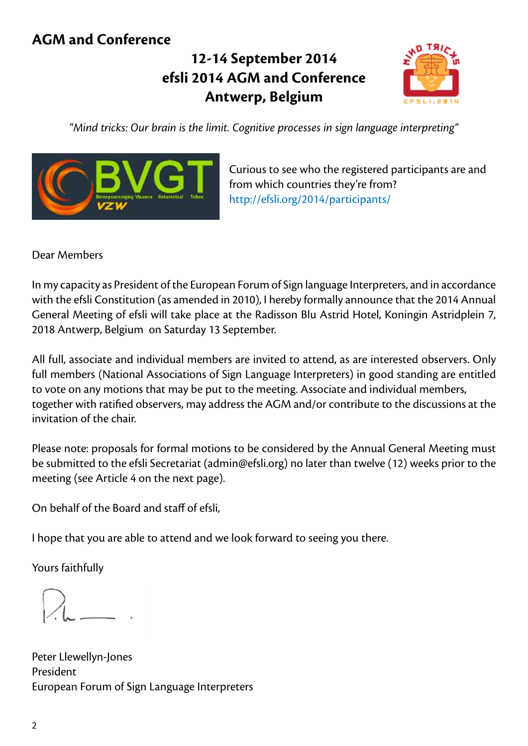#### **AGM and Conference**

## **12-14 September 2014 efsli 2014 AGM and Conference Antwerp, Belgium**



*"Mind tricks: Our brain is the limit. Cognitive processes in sign language interpreting"*



Curious to see who the registered participants are and from which countries they're from? [http://efsli.org/2014/participants/](http://efsli.org/2014/participants/ )

Dear Members

In my capacity as President of the European Forum of Sign language Interpreters, and in accordance with the efsli Constitution (as amended in 2010), I hereby formally announce that the 2014 Annual General Meeting of efsli will take place at the Radisson Blu Astrid Hotel, Koningin Astridplein 7, 2018 Antwerp, Belgium on Saturday 13 September.

All full, associate and individual members are invited to attend, as are interested observers. Only full members (National Associations of Sign Language Interpreters) in good standing are entitled to vote on any motions that may be put to the meeting. Associate and individual members, together with ratified observers, may address the AGM and/or contribute to the discussions at the invitation of the chair.

Please note: proposals for formal motions to be considered by the Annual General Meeting must be submitted to the efsli Secretariat (admin@efsli.org) no later than twelve (12) weeks prior to the meeting (see Article 4 on the next page).

On behalf of the Board and staff of efsli,

I hope that you are able to attend and we look forward to seeing you there.

Yours faithfully

Peter Llewellyn-Jones President European Forum of Sign Language Interpreters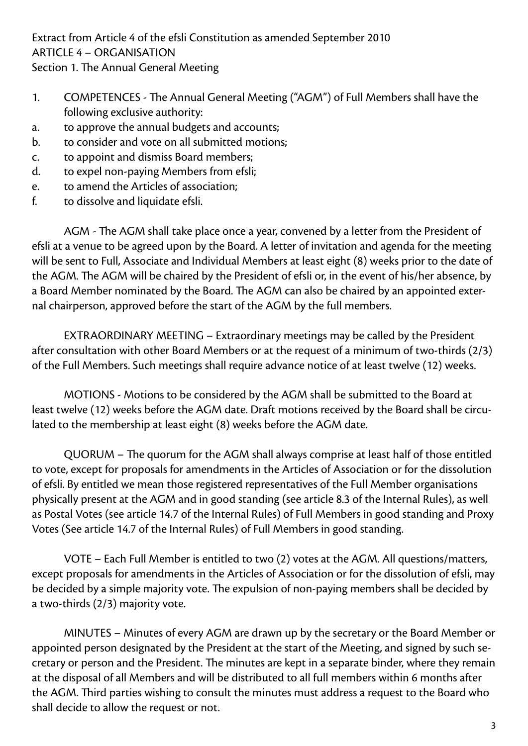Extract from Article 4 of the efsli Constitution as amended September 2010 ARTICLE 4 – ORGANISATION Section 1. The Annual General Meeting

- 1. COMPETENCES The Annual General Meeting ("AGM") of Full Members shall have the following exclusive authority:
- a. to approve the annual budgets and accounts;
- b. to consider and vote on all submitted motions;
- c. to appoint and dismiss Board members;
- d. to expel non-paying Members from efsli;
- e. to amend the Articles of association;
- f. to dissolve and liquidate efsli.

AGM - The AGM shall take place once a year, convened by a letter from the President of efsli at a venue to be agreed upon by the Board. A letter of invitation and agenda for the meeting will be sent to Full, Associate and Individual Members at least eight (8) weeks prior to the date of the AGM. The AGM will be chaired by the President of efsli or, in the event of his/her absence, by a Board Member nominated by the Board. The AGM can also be chaired by an appointed external chairperson, approved before the start of the AGM by the full members.

EXTRAORDINARY MEETING – Extraordinary meetings may be called by the President after consultation with other Board Members or at the request of a minimum of two-thirds (2/3) of the Full Members. Such meetings shall require advance notice of at least twelve (12) weeks.

MOTIONS - Motions to be considered by the AGM shall be submitted to the Board at least twelve (12) weeks before the AGM date. Draft motions received by the Board shall be circulated to the membership at least eight (8) weeks before the AGM date.

QUORUM – The quorum for the AGM shall always comprise at least half of those entitled to vote, except for proposals for amendments in the Articles of Association or for the dissolution of efsli. By entitled we mean those registered representatives of the Full Member organisations physically present at the AGM and in good standing (see article 8.3 of the Internal Rules), as well as Postal Votes (see article 14.7 of the Internal Rules) of Full Members in good standing and Proxy Votes (See article 14.7 of the Internal Rules) of Full Members in good standing.

VOTE – Each Full Member is entitled to two (2) votes at the AGM. All questions/matters, except proposals for amendments in the Articles of Association or for the dissolution of efsli, may be decided by a simple majority vote. The expulsion of non-paying members shall be decided by a two-thirds (2/3) majority vote.

MINUTES – Minutes of every AGM are drawn up by the secretary or the Board Member or appointed person designated by the President at the start of the Meeting, and signed by such secretary or person and the President. The minutes are kept in a separate binder, where they remain at the disposal of all Members and will be distributed to all full members within 6 months after the AGM. Third parties wishing to consult the minutes must address a request to the Board who shall decide to allow the request or not.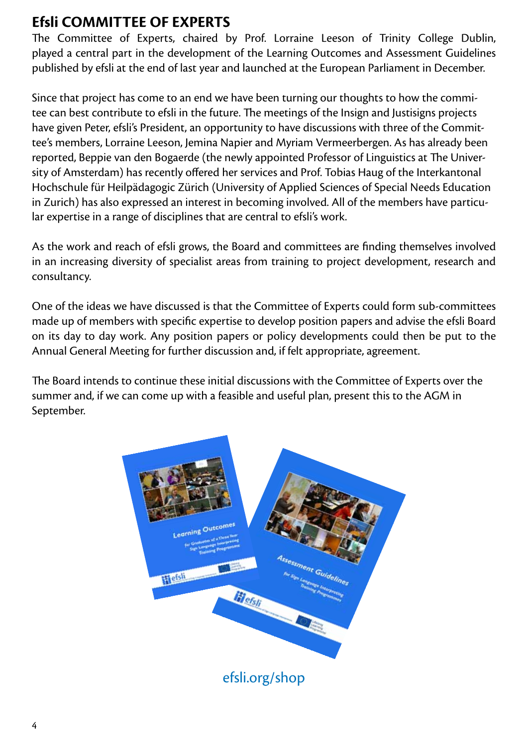#### **Efsli COMMITTEE OF EXPERTS**

The Committee of Experts, chaired by Prof. Lorraine Leeson of Trinity College Dublin, played a central part in the development of the Learning Outcomes and Assessment Guidelines published by efsli at the end of last year and launched at the European Parliament in December.

Since that project has come to an end we have been turning our thoughts to how the commitee can best contribute to efsli in the future. The meetings of the Insign and Justisigns projects have given Peter, efsli's President, an opportunity to have discussions with three of the Committee's members, Lorraine Leeson, Jemina Napier and Myriam Vermeerbergen. As has already been reported, Beppie van den Bogaerde (the newly appointed Professor of Linguistics at The University of Amsterdam) has recently offered her services and Prof. Tobias Haug of the Interkantonal Hochschule für Heilpädagogic Zürich (University of Applied Sciences of Special Needs Education in Zurich) has also expressed an interest in becoming involved. All of the members have particular expertise in a range of disciplines that are central to efsli's work.

As the work and reach of efsli grows, the Board and committees are finding themselves involved in an increasing diversity of specialist areas from training to project development, research and consultancy.

One of the ideas we have discussed is that the Committee of Experts could form sub-committees made up of members with specific expertise to develop position papers and advise the efsli Board on its day to day work. Any position papers or policy developments could then be put to the Annual General Meeting for further discussion and, if felt appropriate, agreement.

The Board intends to continue these initial discussions with the Committee of Experts over the summer and, if we can come up with a feasible and useful plan, present this to the AGM in September.

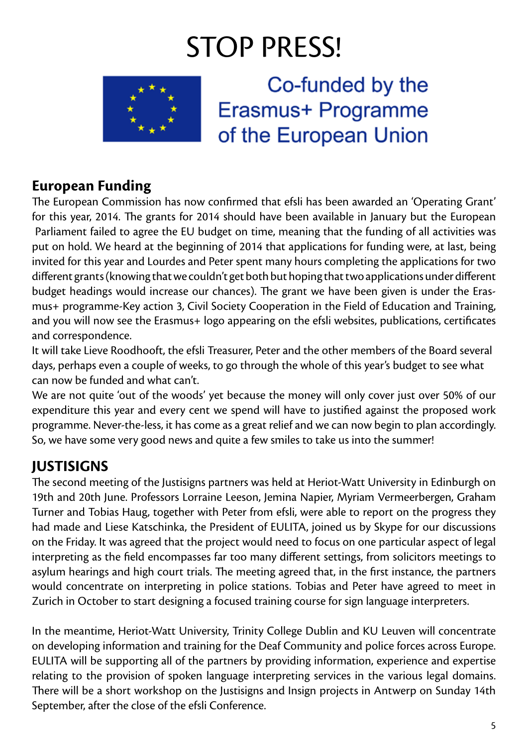# STOP PRESS!



### **European Funding**

The European Commission has now confirmed that efsli has been awarded an 'Operating Grant' for this year, 2014. The grants for 2014 should have been available in January but the European Parliament failed to agree the EU budget on time, meaning that the funding of all activities was put on hold. We heard at the beginning of 2014 that applications for funding were, at last, being invited for this year and Lourdes and Peter spent many hours completing the applications for two different grants (knowing that we couldn't get both but hoping that two applications under different budget headings would increase our chances). The grant we have been given is under the Erasmus+ programme-Key action 3, Civil Society Cooperation in the Field of Education and Training, and you will now see the Erasmus+ logo appearing on the efsli websites, publications, certificates and correspondence.

It will take Lieve Roodhooft, the efsli Treasurer, Peter and the other members of the Board several days, perhaps even a couple of weeks, to go through the whole of this year's budget to see what can now be funded and what can't.

We are not quite 'out of the woods' yet because the money will only cover just over 50% of our expenditure this year and every cent we spend will have to justified against the proposed work programme. Never-the-less, it has come as a great relief and we can now begin to plan accordingly. So, we have some very good news and quite a few smiles to take us into the summer!

## **JUSTISIGNS**

The second meeting of the Justisigns partners was held at Heriot-Watt University in Edinburgh on 19th and 20th June. Professors Lorraine Leeson, Jemina Napier, Myriam Vermeerbergen, Graham Turner and Tobias Haug, together with Peter from efsli, were able to report on the progress they had made and Liese Katschinka, the President of EULITA, joined us by Skype for our discussions on the Friday. It was agreed that the project would need to focus on one particular aspect of legal interpreting as the field encompasses far too many different settings, from solicitors meetings to asylum hearings and high court trials. The meeting agreed that, in the first instance, the partners would concentrate on interpreting in police stations. Tobias and Peter have agreed to meet in Zurich in October to start designing a focused training course for sign language interpreters.

In the meantime, Heriot-Watt University, Trinity College Dublin and KU Leuven will concentrate on developing information and training for the Deaf Community and police forces across Europe. EULITA will be supporting all of the partners by providing information, experience and expertise relating to the provision of spoken language interpreting services in the various legal domains. There will be a short workshop on the Justisigns and Insign projects in Antwerp on Sunday 14th September, after the close of the efsli Conference.